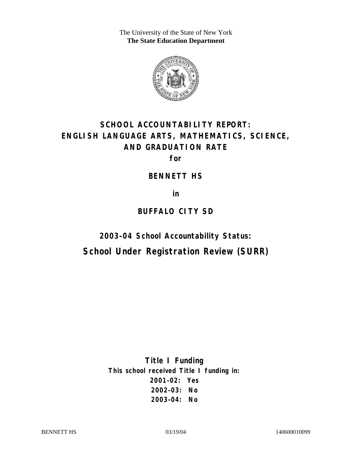The University of the State of New York **The State Education Department** 



# **SCHOOL ACCOUNTABILITY REPORT: ENGLISH LANGUAGE ARTS, MATHEMATICS, SCIENCE, AND GRADUATION RATE**

**for** 

### **BENNETT HS**

**in** 

# **BUFFALO CITY SD**

**2003–04 School Accountability Status:** 

**School Under Registration Review (SURR)** 

**Title I Funding This school received Title I funding in: 2001–02: Yes 2002–03: No 2003–04: No**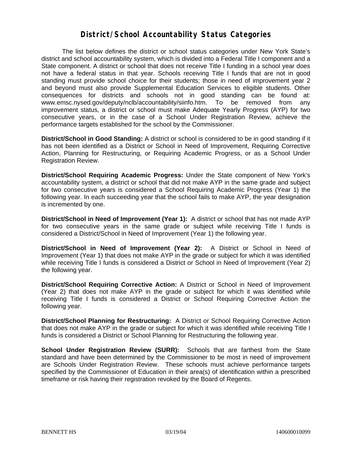### **District/School Accountability Status Categories**

The list below defines the district or school status categories under New York State's district and school accountability system, which is divided into a Federal Title I component and a State component. A district or school that does not receive Title I funding in a school year does not have a federal status in that year. Schools receiving Title I funds that are not in good standing must provide school choice for their students; those in need of improvement year 2 and beyond must also provide Supplemental Education Services to eligible students. Other consequences for districts and schools not in good standing can be found at: www.emsc.nysed.gov/deputy/nclb/accountability/siinfo.htm. To be removed from any improvement status, a district or school must make Adequate Yearly Progress (AYP) for two consecutive years, or in the case of a School Under Registration Review, achieve the performance targets established for the school by the Commissioner.

**District/School in Good Standing:** A district or school is considered to be in good standing if it has not been identified as a District or School in Need of Improvement, Requiring Corrective Action, Planning for Restructuring, or Requiring Academic Progress, or as a School Under Registration Review.

**District/School Requiring Academic Progress:** Under the State component of New York's accountability system, a district or school that did not make AYP in the same grade and subject for two consecutive years is considered a School Requiring Academic Progress (Year 1) the following year. In each succeeding year that the school fails to make AYP, the year designation is incremented by one.

**District/School in Need of Improvement (Year 1):** A district or school that has not made AYP for two consecutive years in the same grade or subject while receiving Title I funds is considered a District/School in Need of Improvement (Year 1) the following year.

**District/School in Need of Improvement (Year 2):** A District or School in Need of Improvement (Year 1) that does not make AYP in the grade or subject for which it was identified while receiving Title I funds is considered a District or School in Need of Improvement (Year 2) the following year.

**District/School Requiring Corrective Action:** A District or School in Need of Improvement (Year 2) that does not make AYP in the grade or subject for which it was identified while receiving Title I funds is considered a District or School Requiring Corrective Action the following year.

**District/School Planning for Restructuring:** A District or School Requiring Corrective Action that does not make AYP in the grade or subject for which it was identified while receiving Title I funds is considered a District or School Planning for Restructuring the following year.

**School Under Registration Review (SURR):** Schools that are farthest from the State standard and have been determined by the Commissioner to be most in need of improvement are Schools Under Registration Review. These schools must achieve performance targets specified by the Commissioner of Education in their area(s) of identification within a prescribed timeframe or risk having their registration revoked by the Board of Regents.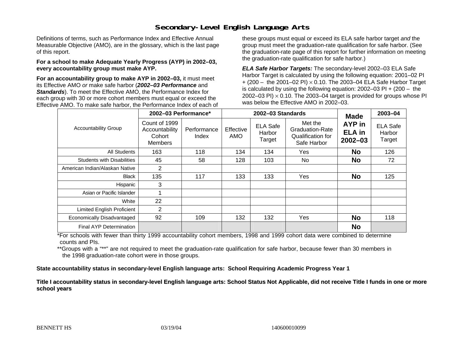## **Secondary-Level English Language Arts**

Definitions of terms, such as Performance Index and Effective Annual Measurable Objective (AMO), are in the glossary, which is the last page of this report.

#### **For a school to make Adequate Yearly Progress (AYP) in 2002–03, every accountability group must make AYP.**

**For an accountability group to make AYP in 2002–03,** it must meet its Effective AMO *or* make safe harbor (*2002–03 Performance* and *Standards*). To meet the Effective AMO, the Performance Index for each group with 30 or more cohort members must equal or exceed the Effective AMO. To make safe harbor, the Performance Index of each of these groups must equal or exceed its ELA safe harbor target *and* the group must meet the graduation-rate qualification for safe harbor. (See the graduation-rate page of this report for further information on meeting the graduation-rate qualification for safe harbor.)

*ELA Safe Harbor Targets:* The secondary-level 2002–03 ELA Safe Harbor Target is calculated by using the following equation: 2001–02 PI + (200 – the 2001–02 PI) <sup>×</sup> 0.10. The 2003–04 ELA Safe Harbor Target is calculated by using the following equation: 2002–03 PI + (200 – the 2002–03 PI)  $\times$  0.10. The 2003–04 target is provided for groups whose PI was below the Effective AMO in 2002–03.

|                                   | 2002-03 Performance*                                        |                      | 2002-03 Standards |                                     |                                                                       | <b>Made</b>                            | $2003 - 04$                         |
|-----------------------------------|-------------------------------------------------------------|----------------------|-------------------|-------------------------------------|-----------------------------------------------------------------------|----------------------------------------|-------------------------------------|
| <b>Accountability Group</b>       | Count of 1999<br>Accountability<br>Cohort<br><b>Members</b> | Performance<br>Index | Effective<br>AMO  | <b>ELA Safe</b><br>Harbor<br>Target | Met the<br><b>Graduation-Rate</b><br>Qualification for<br>Safe Harbor | AYP in<br><b>ELA</b> in<br>$2002 - 03$ | <b>ELA Safe</b><br>Harbor<br>Target |
| All Students                      | 163                                                         | 118                  | 134               | 134                                 | Yes                                                                   | <b>No</b>                              | 126                                 |
| <b>Students with Disabilities</b> | 45                                                          | 58                   | 128               | 103                                 | No.                                                                   | <b>No</b>                              | 72                                  |
| American Indian/Alaskan Native    | 2                                                           |                      |                   |                                     |                                                                       |                                        |                                     |
| <b>Black</b>                      | 135                                                         | 117                  | 133               | 133                                 | Yes                                                                   | <b>No</b>                              | 125                                 |
| Hispanic                          | 3                                                           |                      |                   |                                     |                                                                       |                                        |                                     |
| Asian or Pacific Islander         |                                                             |                      |                   |                                     |                                                                       |                                        |                                     |
| White                             | 22                                                          |                      |                   |                                     |                                                                       |                                        |                                     |
| Limited English Proficient        | 2                                                           |                      |                   |                                     |                                                                       |                                        |                                     |
| Economically Disadvantaged        | 92                                                          | 109                  | 132               | 132                                 | Yes                                                                   | <b>No</b>                              | 118                                 |
| Final AYP Determination           |                                                             |                      |                   |                                     |                                                                       | <b>No</b>                              |                                     |

\*For schools with fewer than thirty 1999 accountability cohort members, 1998 and 1999 cohort data were combined to determine counts and PIs.

\*\*Groups with a "\*\*" are not required to meet the graduation-rate qualification for safe harbor, because fewer than 30 members in the 1998 graduation-rate cohort were in those groups.

**State accountability status in secondary-level English language arts: School Requiring Academic Progress Year 1** 

Title I accountability status in secondary-level English language arts: School Status Not Applicable, did not receive Title I funds in one or more **school y ears**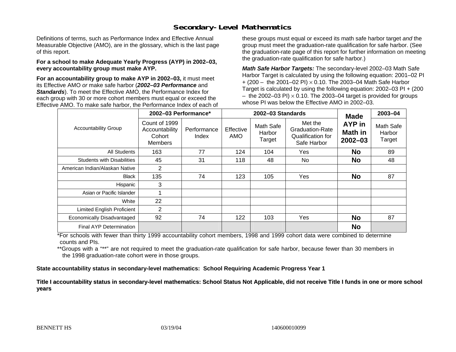### **Secondary-Level Mathematics**

Definitions of terms, such as Performance Index and Effective Annual Measurable Objective (AMO), are in the glossary, which is the last page of this report.

#### **For a school to make Adequate Yearly Progress (AYP) in 2002–03, every accountability group must make AYP.**

**For an accountability group to make AYP in 2002–03,** it must meet its Effective AMO *or* make safe harbor (*2002–03 Performance* and *Standards*). To meet the Effective AMO, the Performance Index for each group with 30 or more cohort members must equal or exceed the Effective AMO. To make safe harbor, the Performance Index of each of these groups must equal or exceed its math safe harbor target *and* the group must meet the graduation-rate qualification for safe harbor. (See the graduation-rate page of this report for further information on meeting the graduation-rate qualification for safe harbor.)

*Math Safe Harbor Targets:* The secondary-level 2002–03 Math Safe Harbor Target is calculated by using the following equation: 2001–02 PI + (200 – the 2001–02 PI) × 0.10. The 2003–04 Math Safe Harbor Target is calculated by using the following equation: 2002–03 PI + (200  $-$  the 2002–03 PI)  $\times$  0.10. The 2003–04 target is provided for groups whose PI was below the Effective AMO in 2002–03.

|                                   | 2002-03 Performance*                                        |                      | 2002-03 Standards |                               |                                                                       | <b>Made</b>                      | $2003 - 04$                   |
|-----------------------------------|-------------------------------------------------------------|----------------------|-------------------|-------------------------------|-----------------------------------------------------------------------|----------------------------------|-------------------------------|
| <b>Accountability Group</b>       | Count of 1999<br>Accountability<br>Cohort<br><b>Members</b> | Performance<br>Index | Effective<br>AMO  | Math Safe<br>Harbor<br>Target | Met the<br><b>Graduation-Rate</b><br>Qualification for<br>Safe Harbor | AYP in<br>Math in<br>$2002 - 03$ | Math Safe<br>Harbor<br>Target |
| All Students                      | 163                                                         | 77                   | 124               | 104                           | Yes                                                                   | <b>No</b>                        | 89                            |
| <b>Students with Disabilities</b> | 45                                                          | 31                   | 118               | 48                            | No                                                                    | <b>No</b>                        | 48                            |
| American Indian/Alaskan Native    | $\overline{2}$                                              |                      |                   |                               |                                                                       |                                  |                               |
| <b>Black</b>                      | 135                                                         | 74                   | 123               | 105                           | Yes                                                                   | <b>No</b>                        | 87                            |
| Hispanic                          | 3                                                           |                      |                   |                               |                                                                       |                                  |                               |
| Asian or Pacific Islander         |                                                             |                      |                   |                               |                                                                       |                                  |                               |
| White                             | 22                                                          |                      |                   |                               |                                                                       |                                  |                               |
| Limited English Proficient        | 2                                                           |                      |                   |                               |                                                                       |                                  |                               |
| Economically Disadvantaged        | 92                                                          | 74                   | 122               | 103                           | Yes                                                                   | <b>No</b>                        | 87                            |
| Final AYP Determination           |                                                             |                      |                   |                               |                                                                       | <b>No</b>                        |                               |

\*For schools with fewer than thirty 1999 accountability cohort members, 1998 and 1999 cohort data were combined to determine counts and PIs.

\*\*Groups with a "\*\*" are not required to meet the graduation-rate qualification for safe harbor, because fewer than 30 members in the 1998 graduation-rate cohort were in those groups.

**State accountability status in secondary-level mathematics: School Requiring Academic Progress Year 1** 

Title I accountability status in secondary-level mathematics: School Status Not Applicable, did not receive Title I funds in one or more school **y ears**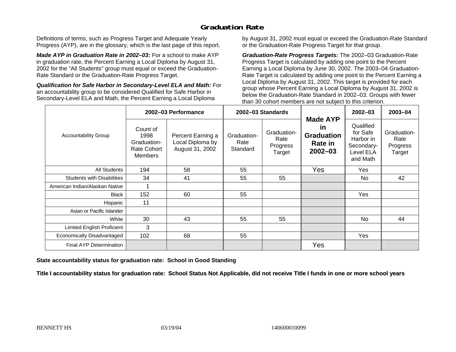## **Graduation Rate**

Definitions of terms, such as Progress Target and Adequate Yearly Progress (AYP), are in the glossary, which is the last page of this report.

*Made AYP in Graduation Rate in 2002–03:* For a school to make AYP in graduation rate, the Percent Earning a Local Diploma by August 31, 2002 for the "All Students" group must equal or exceed the Graduation-Rate Standard or the Graduation-Rate Progress Target.

*Qualification for Safe Harbor in Secondary-Level ELA and Math:* For an accountability group to be considered Qualified for Safe Harbor in Secondary-Level ELA and Math, the Percent Earning a Local Diploma

by August 31, 2002 must equal or exceed the Graduation-Rate Standard or the Graduation-Rate Progress Target for that group.

*Graduation-Rate Progress Targets:* The 2002–03 Graduation-Rate Progress Target is calculated by adding one point to the Percent Earning a Local Diploma by June 30, 2002. The 2003–04 Graduation-Rate Target is calculated by adding one point to the Percent Earning a Local Diploma by August 31, 2002. This target is provided for each group whose Percent Earning a Local Diploma by August 31, 2002 is below the Graduation-Rate Standard in 2002–03. Groups with fewer than 30 cohort members are not subject to this criterion.

|                                   | 2002-03 Performance                                                     |                                                          | 2002-03 Standards               |                                           |                                                                      | $2002 - 03$                                                               | 2003-04                                   |
|-----------------------------------|-------------------------------------------------------------------------|----------------------------------------------------------|---------------------------------|-------------------------------------------|----------------------------------------------------------------------|---------------------------------------------------------------------------|-------------------------------------------|
| <b>Accountability Group</b>       | Count of<br>1998<br>Graduation-<br><b>Rate Cohort</b><br><b>Members</b> | Percent Earning a<br>Local Diploma by<br>August 31, 2002 | Graduation-<br>Rate<br>Standard | Graduation-<br>Rate<br>Progress<br>Target | <b>Made AYP</b><br>in<br><b>Graduation</b><br>Rate in<br>$2002 - 03$ | Qualified<br>for Safe<br>Harbor in<br>Secondary-<br>Level ELA<br>and Math | Graduation-<br>Rate<br>Progress<br>Target |
| All Students                      | 194                                                                     | 58                                                       | 55                              |                                           | Yes                                                                  | Yes                                                                       |                                           |
| <b>Students with Disabilities</b> | 34                                                                      | 41                                                       | 55                              | 55                                        |                                                                      | No                                                                        | 42                                        |
| American Indian/Alaskan Native    |                                                                         |                                                          |                                 |                                           |                                                                      |                                                                           |                                           |
| <b>Black</b>                      | 152                                                                     | 60                                                       | 55                              |                                           |                                                                      | Yes                                                                       |                                           |
| Hispanic                          | 11                                                                      |                                                          |                                 |                                           |                                                                      |                                                                           |                                           |
| Asian or Pacific Islander         |                                                                         |                                                          |                                 |                                           |                                                                      |                                                                           |                                           |
| White                             | 30                                                                      | 43                                                       | 55                              | 55                                        |                                                                      | <b>No</b>                                                                 | 44                                        |
| Limited English Proficient        | 3                                                                       |                                                          |                                 |                                           |                                                                      |                                                                           |                                           |
| Economically Disadvantaged        | 102                                                                     | 68                                                       | 55                              |                                           |                                                                      | Yes                                                                       |                                           |
| <b>Final AYP Determination</b>    |                                                                         |                                                          |                                 |                                           | Yes                                                                  |                                                                           |                                           |

**State accountability status for graduation rate: School in Good Standing** 

Title I accountability status for graduation rate: School Status Not Applicable, did not receive Title I funds in one or more school years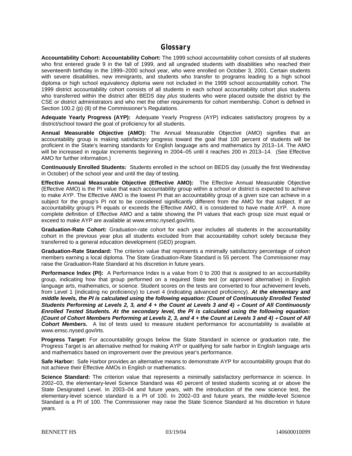#### **Glossary**

**Accountability Cohort: Accountability Cohort:** The 1999 school accountability cohort consists of all students who first entered grade 9 in the fall of 1999, and all ungraded students with disabilities who reached their seventeenth birthday in the 1999–2000 school year, who were enrolled on October 3, 2001. Certain students with severe disabilities, new immigrants, and students who transfer to programs leading to a high school diploma or high school equivalency diploma were not included in the 1999 school accountability cohort. The 1999 district accountability cohort consists of all students in each school accountability cohort plus students who transferred within the district after BEDS day *plus* students who were placed outside the district by the CSE or district administrators and who met the other requirements for cohort membership. Cohort is defined in Section 100.2 (p) (8) of the Commissioner's Regulations.

**Adequate Yearly Progress (AYP):** Adequate Yearly Progress (AYP) indicates satisfactory progress by a district/school toward the goal of proficiency for all students.

**Annual Measurable Objective (AMO):** The Annual Measurable Objective (AMO) signifies that an accountability group is making satisfactory progress toward the goal that 100 percent of students will be proficient in the State's learning standards for English language arts and mathematics by 2013–14. The AMO will be increased in regular increments beginning in 2004–05 until it reaches 200 in 2013–14. (See Effective AMO for further information.)

**Continuously Enrolled Students:** Students enrolled in the school on BEDS day (usually the first Wednesday in October) of the school year and until the day of testing.

**Effective Annual Measurable Objective (Effective AMO):** The Effective Annual Measurable Objective (Effective AMO) is the PI value that each accountability group within a school or district is expected to achieve to make AYP. The Effective AMO is the lowest PI that an accountability group of a given size can achieve in a subject for the group's PI not to be considered significantly different from the AMO for that subject. If an accountability group's PI equals or exceeds the Effective AMO, it is considered to have made AYP. A more complete definition of Effective AMO and a table showing the PI values that each group size must equal or exceed to make AYP are available at www.emsc.nysed.gov/irts.

**Graduation-Rate Cohort:** Graduation-rate cohort for each year includes all students in the accountability cohort in the previous year plus all students excluded from that accountability cohort solely because they transferred to a general education development (GED) program.

**Graduation-Rate Standard:** The criterion value that represents a minimally satisfactory percentage of cohort members earning a local diploma. The State Graduation-Rate Standard is 55 percent. The Commissioner may raise the Graduation-Rate Standard at his discretion in future years.

**Performance Index (PI):** A Performance Index is a value from 0 to 200 that is assigned to an accountability group, indicating how that group performed on a required State test (or approved alternative) in English language arts, mathematics, or science. Student scores on the tests are converted to four achievement levels, from Level 1 (indicating no proficiency) to Level 4 (indicating advanced proficiency). *At the elementary and middle levels, the PI is calculated using the following equation: (Count of Continuously Enrolled Tested Students Performing at Levels 2, 3, and 4 + the Count at Levels 3 and 4) + Count of All Continuously Enrolled Tested Students. At the secondary level, the PI is calculated using the following equation: (Count of Cohort Members Performing at Levels 2, 3, and 4 + the Count at Levels 3 and 4) + Count of All Cohort Members.* A list of tests used to measure student performance for accountability is available at www.emsc.nysed.gov/irts.

**Progress Target:** For accountability groups below the State Standard in science or graduation rate, the Progress Target is an alternative method for making AYP or qualifying for safe harbor in English language arts and mathematics based on improvement over the previous year's performance.

**Safe Harbor:** Safe Harbor provides an alternative means to demonstrate AYP for accountability groups that do not achieve their Effective AMOs in English or mathematics.

**Science Standard:** The criterion value that represents a minimally satisfactory performance in science. In 2002–03, the elementary-level Science Standard was 40 percent of tested students scoring at or above the State Designated Level. In 2003–04 and future years, with the introduction of the new science test, the elementary-level science standard is a PI of 100. In 2002–03 and future years, the middle-level Science Standard is a PI of 100. The Commissioner may raise the State Science Standard at his discretion in future years.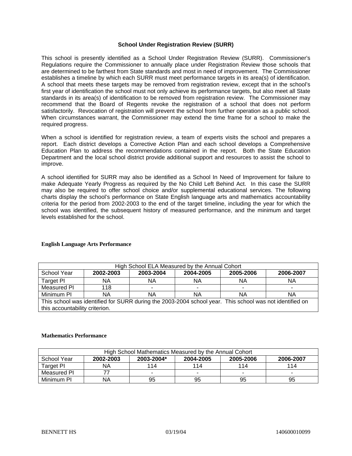#### **School Under Registration Review (SURR)**

This school is presently identified as a School Under Registration Review (SURR). Commissioner's Regulations require the Commissioner to annually place under Registration Review those schools that are determined to be farthest from State standards and most in need of improvement. The Commissioner establishes a timeline by which each SURR must meet performance targets in its area(s) of identification. A school that meets these targets may be removed from registration review, except that in the school's first year of identification the school must not only achieve its performance targets, but also meet all State standards in its area(s) of identification to be removed from registration review. The Commissioner may recommend that the Board of Regents revoke the registration of a school that does not perform satisfactorily. Revocation of registration will prevent the school from further operation as a public school. When circumstances warrant, the Commissioner may extend the time frame for a school to make the required progress.

When a school is identified for registration review, a team of experts visits the school and prepares a report. Each district develops a Corrective Action Plan and each school develops a Comprehensive Education Plan to address the recommendations contained in the report. Both the State Education Department and the local school district provide additional support and resources to assist the school to improve.

A school identified for SURR may also be identified as a School In Need of Improvement for failure to make Adequate Yearly Progress as required by the No Child Left Behind Act. In this case the SURR may also be required to offer school choice and/or supplemental educational services. The following charts display the school's performance on State English language arts and mathematics accountability criteria for the period from 2002-2003 to the end of the target timeline, including the year for which the school was identified, the subsequent history of measured performance, and the minimum and target levels established for the school.

#### **English Language Arts Performance**

| High School ELA Measured by the Annual Cohort                                                           |           |                |           |                          |           |  |
|---------------------------------------------------------------------------------------------------------|-----------|----------------|-----------|--------------------------|-----------|--|
| School Year                                                                                             | 2002-2003 | 2003-2004      | 2004-2005 | 2005-2006                | 2006-2007 |  |
| Target PI                                                                                               | NA        | ΝA             | ΝA        | ΝA                       | ΝA        |  |
| Measured PI                                                                                             | 118       | $\blacksquare$ | ٠         | $\overline{\phantom{0}}$ |           |  |
| Minimum PI                                                                                              | ΝA        | ΝA             | ΝA        | ΝA                       | ΝA        |  |
| This school was identified for SURR during the 2003-2004 school year. This school was not identified on |           |                |           |                          |           |  |
| this accountability criterion.                                                                          |           |                |           |                          |           |  |

#### **Mathematics Performance**

| High School Mathematics Measured by the Annual Cohort |                                                                |     |     |     |                          |  |  |
|-------------------------------------------------------|----------------------------------------------------------------|-----|-----|-----|--------------------------|--|--|
| School Year                                           | 2003-2004*<br>2005-2006<br>2006-2007<br>2002-2003<br>2004-2005 |     |     |     |                          |  |  |
| Target PI                                             | NA                                                             | 114 | 114 | 114 | 114                      |  |  |
| Measured PI                                           |                                                                | ۰   | ۰   | -   | $\overline{\phantom{a}}$ |  |  |
| Minimum PI                                            | ΝA                                                             | 95  | 95  | 95  | 95                       |  |  |